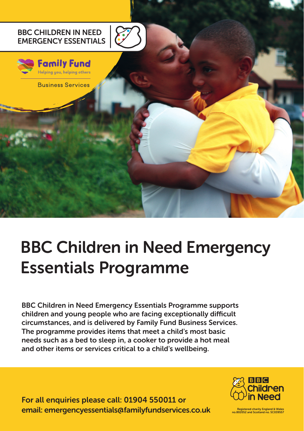

# **BBC Children in Need Emergency Essentials Programme**

**BBC Children in Need Emergency Essentials Programme supports children and young people who are facing exceptionally difficult circumstances, and is delivered by Family Fund Business Services. The programme provides items that meet a child's most basic needs such as a bed to sleep in, a cooker to provide a hot meal and other items or services critical to a child's wellbeing.**

**For all enquiries please call: 01904 550011 or email: emergencyessentials@familyfundservices.co.uk Registered charity England & Wales** 



**Legistered charity England & Wales**<br>02052 and Scotland no. SC039557